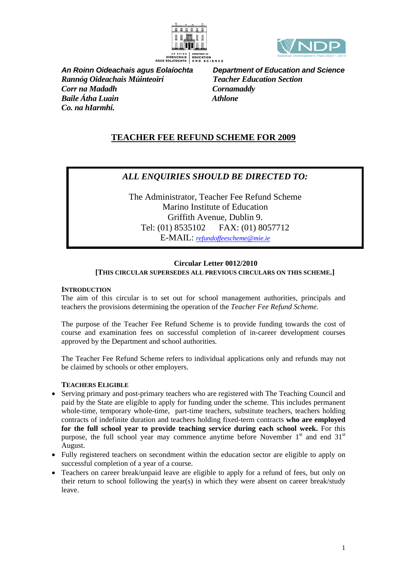



*Rannóg Oideachais Múinteoirí Teacher Education Section Corr na Madadh Cornamaddy Baile Átha Luain* **Athlone** *Co. na hIarmhí.* 

*An Roinn Oideachais agus Eolaíochta Department of Education and Science* 

# **TEACHER FEE REFUND SCHEME FOR 2009**

# *ALL ENQUIRIES SHOULD BE DIRECTED TO:*

The Administrator, Teacher Fee Refund Scheme Marino Institute of Education Griffith Avenue, Dublin 9. Tel: (01) 8535102 FAX: (01) 8057712 E-MAIL: *[refundoffeescheme@mie.ie](mailto:refundoffeescheme@mie.ie)*

## **Circular Letter 0012/2010 [THIS CIRCULAR SUPERSEDES ALL PREVIOUS CIRCULARS ON THIS SCHEME.]**

## **INTRODUCTION**

The aim of this circular is to set out for school management authorities, principals and teachers the provisions determining the operation of the *Teacher Fee Refund Scheme.*

The purpose of the Teacher Fee Refund Scheme is to provide funding towards the cost of course and examination fees on successful completion of in-career development courses approved by the Department and school authorities*.*

The Teacher Fee Refund Scheme refers to individual applications only and refunds may not be claimed by schools or other employers.

# **TEACHERS ELIGIBLE**

- Serving primary and post-primary teachers who are registered with The Teaching Council and paid by the State are eligible to apply for funding under the scheme. This includes permanent whole-time, temporary whole-time, part-time teachers, substitute teachers, teachers holding contracts of indefinite duration and teachers holding fixed-term contracts **who are employed for the full school year to provide teaching service during each school week.** For this purpose, the full school year may commence anytime before November  $1<sup>st</sup>$  and end  $31<sup>st</sup>$ August.
- Fully registered teachers on secondment within the education sector are eligible to apply on successful completion of a year of a course.
- Teachers on career break/unpaid leave are eligible to apply for a refund of fees, but only on their return to school following the year(s) in which they were absent on career break/study leave.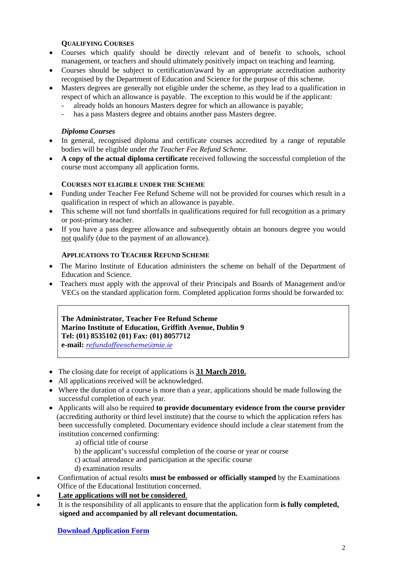## **QUALIFYING COURSES**

- Courses which qualify should be directly relevant and of benefit to schools, school management, or teachers and should ultimately positively impact on teaching and learning.
- Courses should be subject to certification/award by an appropriate accreditation authority recognised by the Department of Education and Science for the purpose of this scheme.
- Masters degrees are generally not eligible under the scheme, as they lead to a qualification in respect of which an allowance is payable. The exception to this would be if the applicant:
	- already holds an honours Masters degree for which an allowance is payable;
	- has a pass Masters degree and obtains another pass Masters degree.

# *Diploma Courses*

- In general, recognised diploma and certificate courses accredited by a range of reputable bodies will be eligible under *the Teacher Fee Refund Scheme*.
- **A copy of the actual diploma certificate** received following the successful completion of the course must accompany all application forms.

#### **COURSES NOT ELIGIBLE UNDER THE SCHEME**

- Funding under Teacher Fee Refund Scheme will not be provided for courses which result in a qualification in respect of which an allowance is payable.
- This scheme will not fund shortfalls in qualifications required for full recognition as a primary or post-primary teacher.
- If you have a pass degree allowance and subsequently obtain an honours degree you would not qualify (due to the payment of an allowance).

#### **APPLICATIONS TO TEACHER REFUND SCHEME**

- The Marino Institute of Education administers the scheme on behalf of the Department of Education and Science.
- Teachers must apply with the approval of their Principals and Boards of Management and/or VECs on the standard application form. Completed application forms should be forwarded to:

**The Administrator, Teacher Fee Refund Scheme Marino Institute of Education, Griffith Avenue, Dublin 9 Tel: (01) 8535102 (01) Fax: (01) 8057712 e-mail:** *[refundoffeescheme@mie.ie](mailto:refundoffeescheme@mie.ie)*

- The closing date for receipt of applications is **31 March 2010.**
- All applications received will be acknowledged.
- Where the duration of a course is more than a year, applications should be made following the successful completion of each year.
- Applicants will also be required **to provide documentary evidence from the course provider** (accrediting authority or third level institute) that the course to which the application refers has been successfully completed. Documentary evidence should include a clear statement from the institution concerned confirming:
	- a) official title of course
	- b) the applicant's successful completion of the course or year or course
	- c) actual attendance and participation at the specific course
	- d) examination results
- Confirmation of actual results **must be embossed or officially stamped** by the Examinations Office of the Educational Institution concerned.
- **Late applications will not be considered**.
- It is the responsibility of all applicants to ensure that the application form **is fully completed,** **signed and accompanied by all relevant documentation.**

 **[Download Application Form](http://www.education.ie/servlet/blobservlet/cl0012_2010_application.doc)**